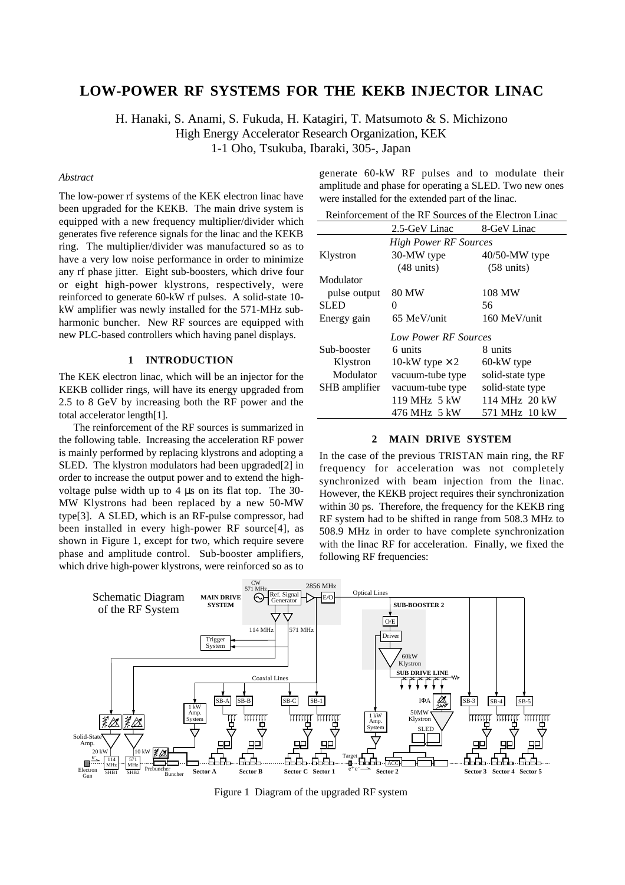# **LOW-POWER RF SYSTEMS FOR THE KEKB INJECTOR LINAC**

H. Hanaki, S. Anami, S. Fukuda, H. Katagiri, T. Matsumoto & S. Michizono High Energy Accelerator Research Organization, KEK 1-1 Oho, Tsukuba, Ibaraki, 305-, Japan

## *Abstract*

The low-power rf systems of the KEK electron linac have been upgraded for the KEKB. The main drive system is equipped with a new frequency multiplier/divider which generates five reference signals for the linac and the KEKB ring. The multiplier/divider was manufactured so as to have a very low noise performance in order to minimize any rf phase jitter. Eight sub-boosters, which drive four or eight high-power klystrons, respectively, were reinforced to generate 60-kW rf pulses. A solid-state 10 kW amplifier was newly installed for the 571-MHz subharmonic buncher. New RF sources are equipped with new PLC-based controllers which having panel displays.

#### **1 INTRODUCTION**

The KEK electron linac, which will be an injector for the KEKB collider rings, will have its energy upgraded from 2.5 to 8 GeV by increasing both the RF power and the total accelerator length[1].

The reinforcement of the RF sources is summarized in the following table. Increasing the acceleration RF power is mainly performed by replacing klystrons and adopting a SLED. The klystron modulators had been upgraded[2] in order to increase the output power and to extend the highvoltage pulse width up to 4 µs on its flat top. The 30- MW Klystrons had been replaced by a new 50-MW type[3]. A SLED, which is an RF-pulse compressor, had been installed in every high-power RF source[4], as shown in Figure 1, except for two, which require severe phase and amplitude control. Sub-booster amplifiers, which drive high-power klystrons, were reinforced so as to

generate 60-kW RF pulses and to modulate their amplitude and phase for operating a SLED. Two new ones were installed for the extended part of the linac.

| Reinforcement of the RF Sources of the Electron Linac |                       |                      |  |
|-------------------------------------------------------|-----------------------|----------------------|--|
|                                                       | 2.5-GeV Linac         | 8-GeV Linac          |  |
| <b>High Power RF Sources</b>                          |                       |                      |  |
| Klystron                                              | 30-MW type            | $40/50$ -MW type     |  |
|                                                       | $(48 \text{ units})$  | $(58 \text{ units})$ |  |
| Modulator                                             |                       |                      |  |
| pulse output                                          | 80 MW                 | 108 MW               |  |
| <b>SLED</b>                                           | $\theta$              | 56                   |  |
| Energy gain                                           | 65 MeV/unit           | 160 MeV/unit         |  |
| Low Power RF Sources                                  |                       |                      |  |
| Sub-booster                                           | 6 units               | 8 units              |  |
| Klystron                                              | 10-kW type $\times$ 2 | 60-kW type           |  |
| Modulator                                             | vacuum-tube type      | solid-state type     |  |
| SHB amplifier                                         | vacuum-tube type      | solid-state type     |  |
|                                                       | 119 MHz 5 kW          | 114 MHz 20 kW        |  |
|                                                       | 476 MHz 5 kW          | 571 MHz 10 kW        |  |

#### **2 MAIN DRIVE SYSTEM**

In the case of the previous TRISTAN main ring, the RF frequency for acceleration was not completely synchronized with beam injection from the linac. However, the KEKB project requires their synchronization within 30 ps. Therefore, the frequency for the KEKB ring RF system had to be shifted in range from 508.3 MHz to 508.9 MHz in order to have complete synchronization with the linac RF for acceleration. Finally, we fixed the following RF frequencies:



Figure 1 Diagram of the upgraded RF system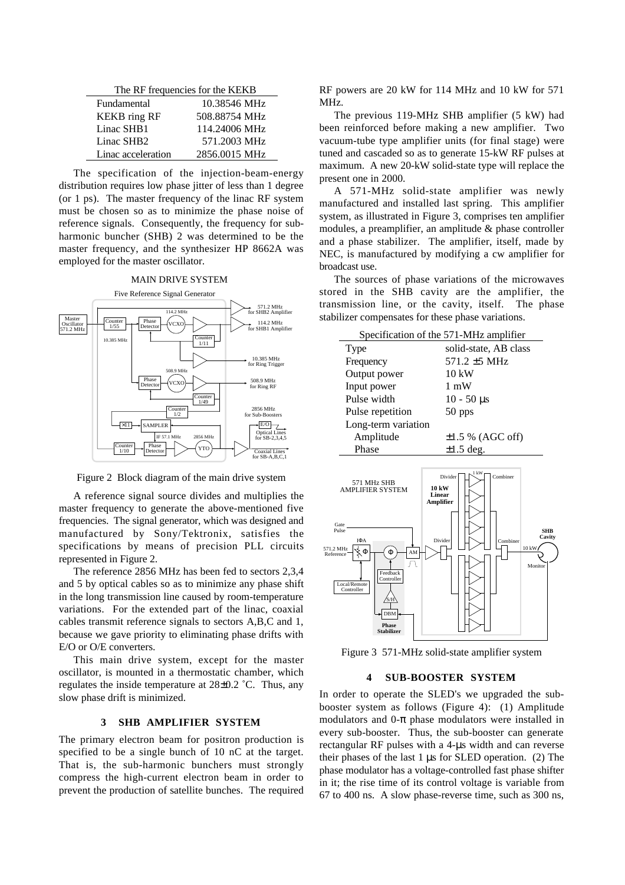| The RF frequencies for the KEKB |               |  |
|---------------------------------|---------------|--|
| Fundamental                     | 10.38546 MHz  |  |
| <b>KEKB</b> ring RF             | 508.88754 MHz |  |
| Linac SHB1                      | 114.24006 MHz |  |
| Linac SHB <sub>2</sub>          | 571.2003 MHz  |  |
| Linac acceleration              | 2856.0015 MHz |  |

The specification of the injection-beam-energy distribution requires low phase jitter of less than 1 degree (or 1 ps). The master frequency of the linac RF system must be chosen so as to minimize the phase noise of reference signals. Consequently, the frequency for subharmonic buncher (SHB) 2 was determined to be the master frequency, and the synthesizer HP 8662A was employed for the master oscillator.



Figure 2 Block diagram of the main drive system

A reference signal source divides and multiplies the master frequency to generate the above-mentioned five frequencies. The signal generator, which was designed and manufactured by Sony/Tektronix, satisfies the specifications by means of precision PLL circuits represented in Figure 2.

The reference 2856 MHz has been fed to sectors 2,3,4 and 5 by optical cables so as to minimize any phase shift in the long transmission line caused by room-temperature variations. For the extended part of the linac, coaxial cables transmit reference signals to sectors A,B,C and 1, because we gave priority to eliminating phase drifts with E/O or O/E converters.

This main drive system, except for the master oscillator, is mounted in a thermostatic chamber, which regulates the inside temperature at 28±0.2 ˚C. Thus, any slow phase drift is minimized.

## **3 SHB AMPLIFIER SYSTEM**

The primary electron beam for positron production is specified to be a single bunch of 10 nC at the target. That is, the sub-harmonic bunchers must strongly compress the high-current electron beam in order to prevent the production of satellite bunches. The required RF powers are 20 kW for 114 MHz and 10 kW for 571 MHz.

The previous 119-MHz SHB amplifier (5 kW) had been reinforced before making a new amplifier. Two vacuum-tube type amplifier units (for final stage) were tuned and cascaded so as to generate 15-kW RF pulses at maximum. A new 20-kW solid-state type will replace the present one in 2000.

A 571-MHz solid-state amplifier was newly manufactured and installed last spring. This amplifier system, as illustrated in Figure 3, comprises ten amplifier modules, a preamplifier, an amplitude & phase controller and a phase stabilizer. The amplifier, itself, made by NEC, is manufactured by modifying a cw amplifier for broadcast use.

The sources of phase variations of the microwaves stored in the SHB cavity are the amplifier, the transmission line, or the cavity, itself. The phase stabilizer compensates for these phase variations.

| Specification of the 571-MHz amplifier |                       |  |
|----------------------------------------|-----------------------|--|
| Type                                   | solid-state, AB class |  |
| Frequency                              | $571.2 \pm 5$ MHz     |  |
| Output power                           | $10 \text{ kW}$       |  |
| Input power                            | 1 mW                  |  |
| Pulse width                            | $10 - 50 \,\mu s$     |  |
| Pulse repetition                       | 50 pps                |  |
| Long-term variation                    |                       |  |
| Amplitude                              | $\pm 1.5$ % (AGC off) |  |
| Phase                                  | $\pm 1.5$ deg.        |  |



Figure 3 571-MHz solid-state amplifier system

### **4 SUB-BOOSTER SYSTEM**

In order to operate the SLED's we upgraded the subbooster system as follows (Figure 4): (1) Amplitude modulators and  $0$ - $\pi$  phase modulators were installed in every sub-booster. Thus, the sub-booster can generate rectangular RF pulses with a 4-µs width and can reverse their phases of the last 1  $\mu$ s for SLED operation. (2) The phase modulator has a voltage-controlled fast phase shifter in it; the rise time of its control voltage is variable from 67 to 400 ns. A slow phase-reverse time, such as 300 ns,